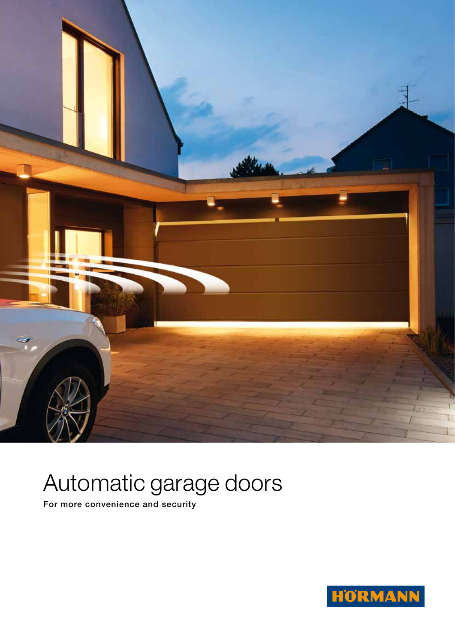

# Automatic garage doors

For more convenience and security